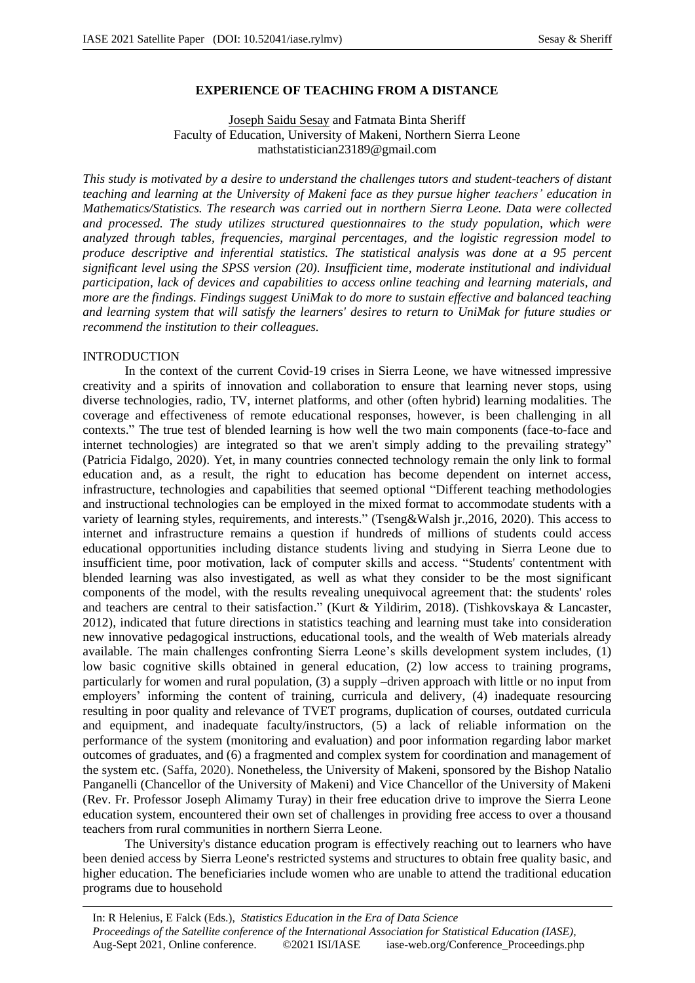# **EXPERIENCE OF TEACHING FROM A DISTANCE**

# Joseph Saidu Sesay and Fatmata Binta Sheriff Faculty of Education, University of Makeni, Northern Sierra Leone mathstatistician23189@gmail.com

*This study is motivated by a desire to understand the challenges tutors and student-teachers of distant teaching and learning at the University of Makeni face as they pursue higher teachers' education in Mathematics/Statistics. The research was carried out in northern Sierra Leone. Data were collected and processed. The study utilizes structured questionnaires to the study population, which were analyzed through tables, frequencies, marginal percentages, and the logistic regression model to produce descriptive and inferential statistics. The statistical analysis was done at a 95 percent significant level using the SPSS version (20). Insufficient time, moderate institutional and individual participation, lack of devices and capabilities to access online teaching and learning materials, and more are the findings. Findings suggest UniMak to do more to sustain effective and balanced teaching and learning system that will satisfy the learners' desires to return to UniMak for future studies or recommend the institution to their colleagues.*

#### INTRODUCTION

In the context of the current Covid-19 crises in Sierra Leone, we have witnessed impressive creativity and a spirits of innovation and collaboration to ensure that learning never stops, using diverse technologies, radio, TV, internet platforms, and other (often hybrid) learning modalities. The coverage and effectiveness of remote educational responses, however, is been challenging in all contexts." The true test of blended learning is how well the two main components (face-to-face and internet technologies) are integrated so that we aren't simply adding to the prevailing strategy" (Patricia Fidalgo, 2020). Yet, in many countries connected technology remain the only link to formal education and, as a result, the right to education has become dependent on internet access, infrastructure, technologies and capabilities that seemed optional "Different teaching methodologies and instructional technologies can be employed in the mixed format to accommodate students with a variety of learning styles, requirements, and interests." (Tseng&Walsh jr.,2016, 2020). This access to internet and infrastructure remains a question if hundreds of millions of students could access educational opportunities including distance students living and studying in Sierra Leone due to insufficient time, poor motivation, lack of computer skills and access. "Students' contentment with blended learning was also investigated, as well as what they consider to be the most significant components of the model, with the results revealing unequivocal agreement that: the students' roles and teachers are central to their satisfaction." (Kurt & Yildirim, 2018). (Tishkovskaya & Lancaster, 2012), indicated that future directions in statistics teaching and learning must take into consideration new innovative pedagogical instructions, educational tools, and the wealth of Web materials already available. The main challenges confronting Sierra Leone's skills development system includes, (1) low basic cognitive skills obtained in general education, (2) low access to training programs, particularly for women and rural population, (3) a supply –driven approach with little or no input from employers' informing the content of training, curricula and delivery, (4) inadequate resourcing resulting in poor quality and relevance of TVET programs, duplication of courses, outdated curricula and equipment, and inadequate faculty/instructors, (5) a lack of reliable information on the performance of the system (monitoring and evaluation) and poor information regarding labor market outcomes of graduates, and (6) a fragmented and complex system for coordination and management of the system etc. (Saffa, 2020). Nonetheless, the University of Makeni, sponsored by the Bishop Natalio Panganelli (Chancellor of the University of Makeni) and Vice Chancellor of the University of Makeni (Rev. Fr. Professor Joseph Alimamy Turay) in their free education drive to improve the Sierra Leone education system, encountered their own set of challenges in providing free access to over a thousand teachers from rural communities in northern Sierra Leone.

The University's distance education program is effectively reaching out to learners who have been denied access by Sierra Leone's restricted systems and structures to obtain free quality basic, and higher education. The beneficiaries include women who are unable to attend the traditional education programs due to household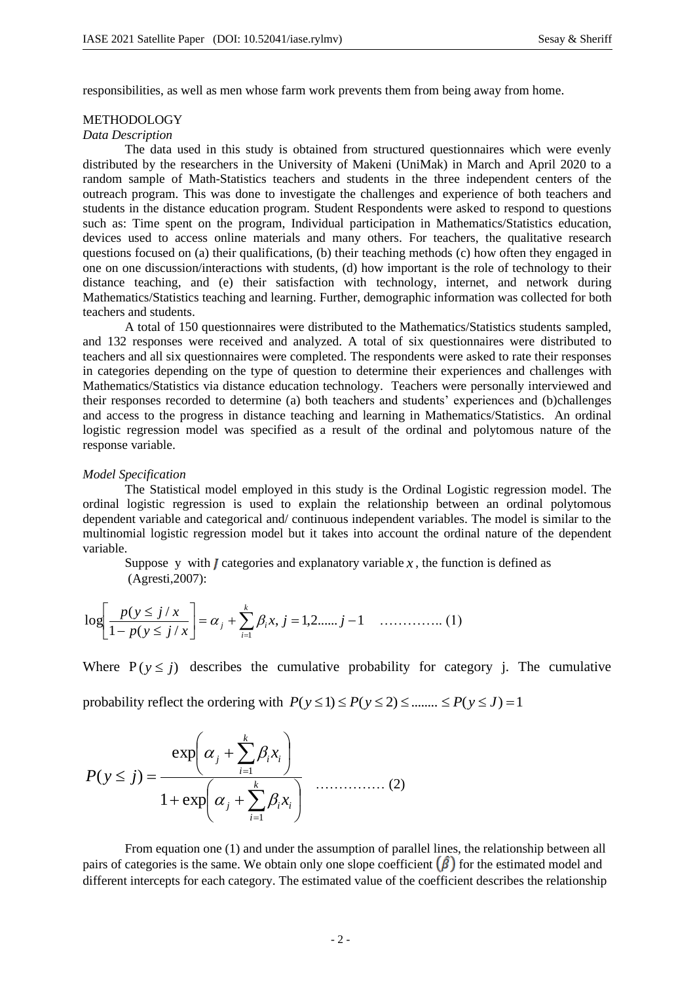responsibilities, as well as men whose farm work prevents them from being away from home.

#### METHODOLOGY

## *Data Description*

The data used in this study is obtained from structured questionnaires which were evenly distributed by the researchers in the University of Makeni (UniMak) in March and April 2020 to a random sample of Math-Statistics teachers and students in the three independent centers of the outreach program. This was done to investigate the challenges and experience of both teachers and students in the distance education program. Student Respondents were asked to respond to questions such as: Time spent on the program, Individual participation in Mathematics/Statistics education, devices used to access online materials and many others. For teachers, the qualitative research questions focused on (a) their qualifications, (b) their teaching methods (c) how often they engaged in one on one discussion/interactions with students, (d) how important is the role of technology to their distance teaching, and (e) their satisfaction with technology, internet, and network during Mathematics/Statistics teaching and learning. Further, demographic information was collected for both teachers and students.

A total of 150 questionnaires were distributed to the Mathematics/Statistics students sampled, and 132 responses were received and analyzed. A total of six questionnaires were distributed to teachers and all six questionnaires were completed. The respondents were asked to rate their responses in categories depending on the type of question to determine their experiences and challenges with Mathematics/Statistics via distance education technology. Teachers were personally interviewed and their responses recorded to determine (a) both teachers and students' experiences and (b)challenges and access to the progress in distance teaching and learning in Mathematics/Statistics. An ordinal logistic regression model was specified as a result of the ordinal and polytomous nature of the response variable.

#### *Model Specification*

The Statistical model employed in this study is the Ordinal Logistic regression model. The ordinal logistic regression is used to explain the relationship between an ordinal polytomous dependent variable and categorical and/ continuous independent variables. The model is similar to the multinomial logistic regression model but it takes into account the ordinal nature of the dependent variable.

Suppose y with  $J$  categories and explanatory variable  $x$ , the function is defined as (Agresti,2007):

$$
\log \left[ \frac{p(y \le j/x)}{1 - p(y \le j/x)} \right] = \alpha_j + \sum_{i=1}^{k} \beta_i x, j = 1, 2, \dots, j-1 \quad \dots \dots \dots \dots \dots \tag{1}
$$

Where  $P(y \leq j)$  describes the cumulative probability for category j. The cumulative

probability reflect the ordering with  $P(y \le 1) \le P(y \le 2) \le \dots \le P(y \le J) = 1$ 

$$
P(y \le j) = \frac{\exp\left(\alpha_j + \sum_{i=1}^k \beta_i x_i\right)}{1 + \exp\left(\alpha_j + \sum_{i=1}^k \beta_i x_i\right)} \quad \dots \dots \dots \dots (2)
$$

From equation one (1) and under the assumption of parallel lines, the relationship between all pairs of categories is the same. We obtain only one slope coefficient  $(\hat{\beta})$  for the estimated model and different intercepts for each category. The estimated value of the coefficient describes the relationship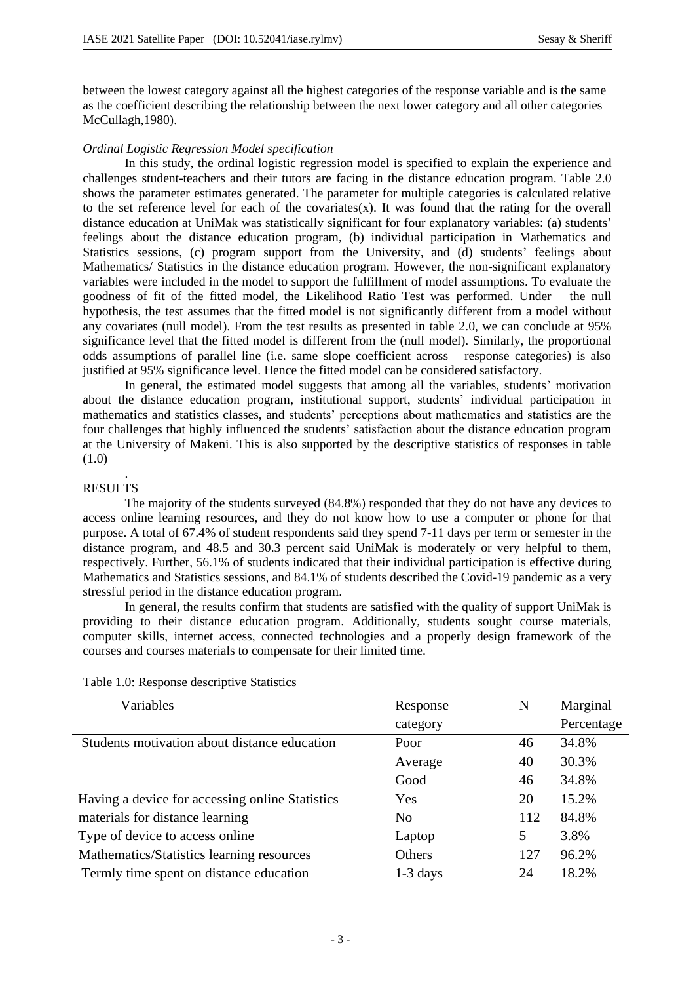between the lowest category against all the highest categories of the response variable and is the same as the coefficient describing the relationship between the next lower category and all other categories McCullagh,1980).

#### *Ordinal Logistic Regression Model specification*

In this study, the ordinal logistic regression model is specified to explain the experience and challenges student-teachers and their tutors are facing in the distance education program. Table 2.0 shows the parameter estimates generated. The parameter for multiple categories is calculated relative to the set reference level for each of the covariates(x). It was found that the rating for the overall distance education at UniMak was statistically significant for four explanatory variables: (a) students' feelings about the distance education program, (b) individual participation in Mathematics and Statistics sessions, (c) program support from the University, and (d) students' feelings about Mathematics/ Statistics in the distance education program. However, the non-significant explanatory variables were included in the model to support the fulfillment of model assumptions. To evaluate the goodness of fit of the fitted model, the Likelihood Ratio Test was performed. Under the null hypothesis, the test assumes that the fitted model is not significantly different from a model without any covariates (null model). From the test results as presented in table 2.0, we can conclude at 95% significance level that the fitted model is different from the (null model). Similarly, the proportional odds assumptions of parallel line (i.e. same slope coefficient across response categories) is also justified at 95% significance level. Hence the fitted model can be considered satisfactory.

In general, the estimated model suggests that among all the variables, students' motivation about the distance education program, institutional support, students' individual participation in mathematics and statistics classes, and students' perceptions about mathematics and statistics are the four challenges that highly influenced the students' satisfaction about the distance education program at the University of Makeni. This is also supported by the descriptive statistics of responses in table  $(1.0)$ 

#### . RESULTS

The majority of the students surveyed (84.8%) responded that they do not have any devices to access online learning resources, and they do not know how to use a computer or phone for that purpose. A total of 67.4% of student respondents said they spend 7-11 days per term or semester in the distance program, and 48.5 and 30.3 percent said UniMak is moderately or very helpful to them, respectively. Further, 56.1% of students indicated that their individual participation is effective during Mathematics and Statistics sessions, and 84.1% of students described the Covid-19 pandemic as a very stressful period in the distance education program.

In general, the results confirm that students are satisfied with the quality of support UniMak is providing to their distance education program. Additionally, students sought course materials, computer skills, internet access, connected technologies and a properly design framework of the courses and courses materials to compensate for their limited time.

| Variables                                       | Response       | N   | Marginal   |
|-------------------------------------------------|----------------|-----|------------|
|                                                 | category       |     | Percentage |
| Students motivation about distance education    | Poor           | 46  | 34.8%      |
|                                                 | Average        | 40  | 30.3%      |
|                                                 | Good           | 46  | 34.8%      |
| Having a device for accessing online Statistics | Yes            | 20  | 15.2%      |
| materials for distance learning                 | N <sub>0</sub> | 112 | 84.8%      |
| Type of device to access online                 | Laptop         | 5   | 3.8%       |
| Mathematics/Statistics learning resources       | Others         | 127 | 96.2%      |
| Termly time spent on distance education         | $1-3$ days     | 24  | 18.2%      |

Table 1.0: Response descriptive Statistics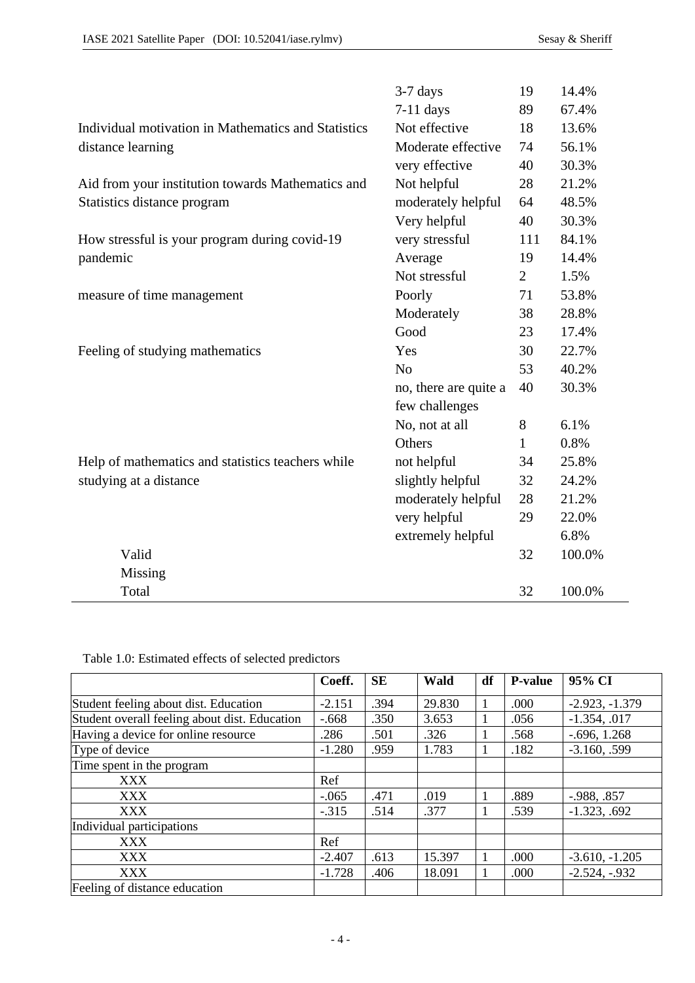|                                                     | $3-7$ days            | 19  | 14.4%  |
|-----------------------------------------------------|-----------------------|-----|--------|
|                                                     | $7-11$ days           | 89  | 67.4%  |
| Individual motivation in Mathematics and Statistics | Not effective         | 18  | 13.6%  |
| distance learning                                   | Moderate effective    | 74  | 56.1%  |
|                                                     | very effective        | 40  | 30.3%  |
| Aid from your institution towards Mathematics and   | Not helpful           | 28  | 21.2%  |
| Statistics distance program                         | moderately helpful    | 64  | 48.5%  |
|                                                     | Very helpful          | 40  | 30.3%  |
| How stressful is your program during covid-19       | very stressful        | 111 | 84.1%  |
| pandemic                                            | Average               | 19  | 14.4%  |
|                                                     | Not stressful         | 2   | 1.5%   |
| measure of time management                          | Poorly                | 71  | 53.8%  |
|                                                     | Moderately            | 38  | 28.8%  |
|                                                     | Good                  | 23  | 17.4%  |
| Feeling of studying mathematics                     | Yes                   | 30  | 22.7%  |
|                                                     | N <sub>0</sub>        | 53  | 40.2%  |
|                                                     | no, there are quite a | 40  | 30.3%  |
|                                                     | few challenges        |     |        |
|                                                     | No, not at all        | 8   | 6.1%   |
|                                                     | Others                | 1   | 0.8%   |
| Help of mathematics and statistics teachers while   | not helpful           | 34  | 25.8%  |
| studying at a distance                              | slightly helpful      | 32  | 24.2%  |
|                                                     | moderately helpful    | 28  | 21.2%  |
|                                                     | very helpful          | 29  | 22.0%  |
|                                                     | extremely helpful     |     | 6.8%   |
| Valid                                               |                       | 32  | 100.0% |
| Missing                                             |                       |     |        |
| Total                                               |                       | 32  | 100.0% |
|                                                     |                       |     |        |

Table 1.0: Estimated effects of selected predictors

|                                               | Coeff.   | <b>SE</b> | Wald   | df | <b>P-value</b> | 95% CI           |
|-----------------------------------------------|----------|-----------|--------|----|----------------|------------------|
| Student feeling about dist. Education         | $-2.151$ | .394      | 29.830 | 1  | .000           | $-2.923, -1.379$ |
| Student overall feeling about dist. Education | $-.668$  | .350      | 3.653  | 1  | .056           | $-1.354, .017$   |
| Having a device for online resource           | .286     | .501      | .326   | 1  | .568           | $-.696, 1.268$   |
| Type of device                                | $-1.280$ | .959      | 1.783  | 1  | .182           | $-3.160, .599$   |
| Time spent in the program                     |          |           |        |    |                |                  |
| <b>XXX</b>                                    | Ref      |           |        |    |                |                  |
| <b>XXX</b>                                    | $-.065$  | .471      | .019   | 1  | .889           | $-.988, .857$    |
| <b>XXX</b>                                    | $-.315$  | .514      | .377   | 1  | .539           | $-1.323, .692$   |
| Individual participations                     |          |           |        |    |                |                  |
| XXX                                           | Ref      |           |        |    |                |                  |
| <b>XXX</b>                                    | $-2.407$ | .613      | 15.397 | 1  | .000           | $-3.610, -1.205$ |
| <b>XXX</b>                                    | $-1.728$ | .406      | 18.091 | 1  | .000           | $-2.524, -932$   |
| Feeling of distance education                 |          |           |        |    |                |                  |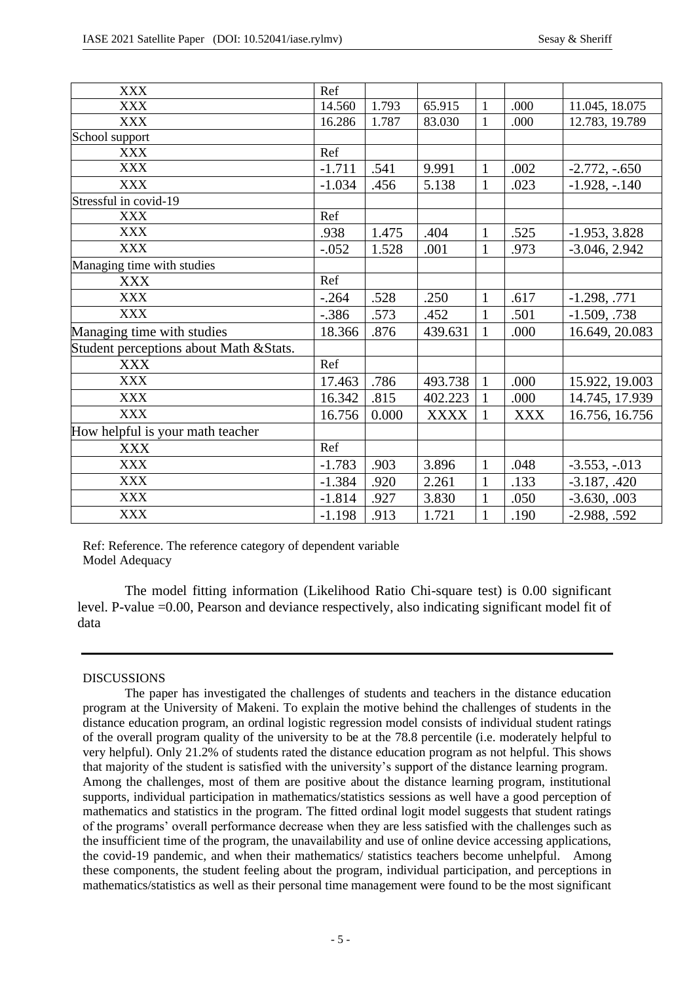| <b>XXX</b>                              | Ref      |       |             |              |            |                  |
|-----------------------------------------|----------|-------|-------------|--------------|------------|------------------|
| <b>XXX</b>                              | 14.560   | 1.793 | 65.915      | $\mathbf{1}$ | .000       | 11.045, 18.075   |
| <b>XXX</b>                              | 16.286   | 1.787 | 83.030      | $\mathbf{1}$ | .000       | 12.783, 19.789   |
| School support                          |          |       |             |              |            |                  |
| <b>XXX</b>                              | Ref      |       |             |              |            |                  |
| <b>XXX</b>                              | $-1.711$ | .541  | 9.991       | $\mathbf{1}$ | .002       | $-2.772, -0.650$ |
| <b>XXX</b>                              | $-1.034$ | .456  | 5.138       | $\mathbf{1}$ | .023       | $-1.928, -140$   |
| Stressful in covid-19                   |          |       |             |              |            |                  |
| <b>XXX</b>                              | Ref      |       |             |              |            |                  |
| <b>XXX</b>                              | .938     | 1.475 | .404        | $\mathbf{1}$ | .525       | $-1.953, 3.828$  |
| <b>XXX</b>                              | $-.052$  | 1.528 | .001        | $\mathbf{1}$ | .973       | $-3.046, 2.942$  |
| Managing time with studies              |          |       |             |              |            |                  |
| <b>XXX</b>                              | Ref      |       |             |              |            |                  |
| <b>XXX</b>                              | $-.264$  | .528  | .250        | $\mathbf{1}$ | .617       | $-1.298, .771$   |
| <b>XXX</b>                              | $-.386$  | .573  | .452        | $\mathbf{1}$ | .501       | $-1.509, .738$   |
| Managing time with studies              | 18.366   | .876  | 439.631     | $\mathbf{1}$ | .000       | 16.649, 20.083   |
| Student perceptions about Math & Stats. |          |       |             |              |            |                  |
| <b>XXX</b>                              | Ref      |       |             |              |            |                  |
| <b>XXX</b>                              | 17.463   | .786  | 493.738     | $\mathbf{1}$ | .000       | 15.922, 19.003   |
| <b>XXX</b>                              | 16.342   | .815  | 402.223     | $\mathbf{1}$ | .000       | 14.745, 17.939   |
| <b>XXX</b>                              | 16.756   | 0.000 | <b>XXXX</b> | $\mathbf{1}$ | <b>XXX</b> | 16.756, 16.756   |
| How helpful is your math teacher        |          |       |             |              |            |                  |
| <b>XXX</b>                              | Ref      |       |             |              |            |                  |
| <b>XXX</b>                              | $-1.783$ | .903  | 3.896       | $\mathbf{1}$ | .048       | $-3.553, -013$   |
| <b>XXX</b>                              | $-1.384$ | .920  | 2.261       | $\mathbf{1}$ | .133       | $-3.187, .420$   |
| <b>XXX</b>                              | $-1.814$ | .927  | 3.830       | $\mathbf{1}$ | .050       | $-3.630, .003$   |
| <b>XXX</b>                              | $-1.198$ | .913  | 1.721       | $\mathbf{1}$ | .190       | $-2.988, .592$   |

Ref: Reference. The reference category of dependent variable Model Adequacy

The model fitting information (Likelihood Ratio Chi-square test) is 0.00 significant level. P-value =0.00, Pearson and deviance respectively, also indicating significant model fit of data

# DISCUSSIONS

The paper has investigated the challenges of students and teachers in the distance education program at the University of Makeni. To explain the motive behind the challenges of students in the distance education program, an ordinal logistic regression model consists of individual student ratings of the overall program quality of the university to be at the 78.8 percentile (i.e. moderately helpful to very helpful). Only 21.2% of students rated the distance education program as not helpful. This shows that majority of the student is satisfied with the university's support of the distance learning program. Among the challenges, most of them are positive about the distance learning program, institutional supports, individual participation in mathematics/statistics sessions as well have a good perception of mathematics and statistics in the program. The fitted ordinal logit model suggests that student ratings of the programs' overall performance decrease when they are less satisfied with the challenges such as the insufficient time of the program, the unavailability and use of online device accessing applications, the covid-19 pandemic, and when their mathematics/ statistics teachers become unhelpful. Among these components, the student feeling about the program, individual participation, and perceptions in mathematics/statistics as well as their personal time management were found to be the most significant